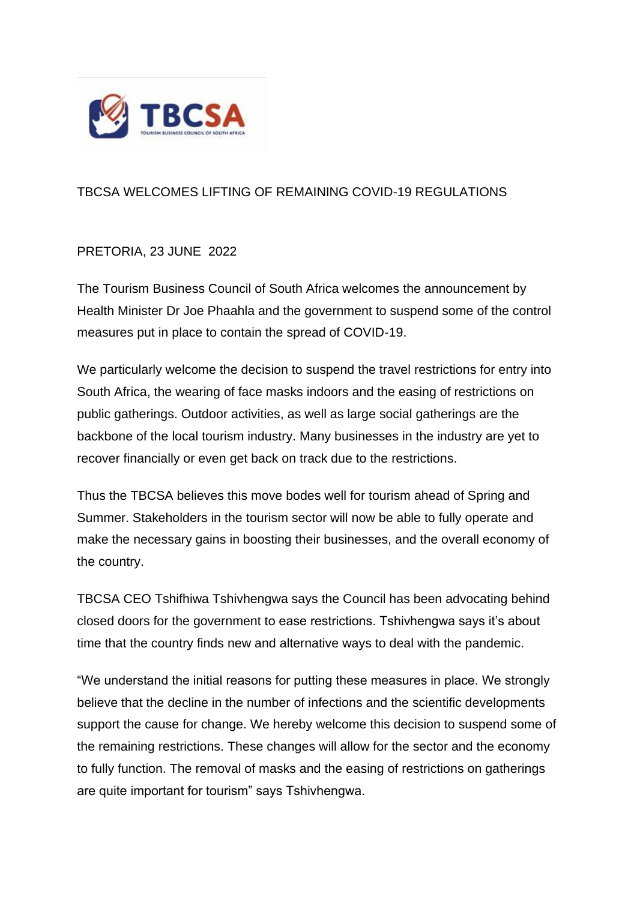

## TBCSA WELCOMES LIFTING OF REMAINING COVID-19 REGULATIONS

## PRETORIA, 23 JUNE 2022

The Tourism Business Council of South Africa welcomes the announcement by Health Minister Dr Joe Phaahla and the government to suspend some of the control measures put in place to contain the spread of COVID-19.

We particularly welcome the decision to suspend the travel restrictions for entry into South Africa, the wearing of face masks indoors and the easing of restrictions on public gatherings. Outdoor activities, as well as large social gatherings are the backbone of the local tourism industry. Many businesses in the industry are yet to recover financially or even get back on track due to the restrictions.

Thus the TBCSA believes this move bodes well for tourism ahead of Spring and Summer. Stakeholders in the tourism sector will now be able to fully operate and make the necessary gains in boosting their businesses, and the overall economy of the country.

TBCSA CEO Tshifhiwa Tshivhengwa says the Council has been advocating behind closed doors for the government to ease restrictions. Tshivhengwa says it's about time that the country finds new and alternative ways to deal with the pandemic.

"We understand the initial reasons for putting these measures in place. We strongly believe that the decline in the number of infections and the scientific developments support the cause for change. We hereby welcome this decision to suspend some of the remaining restrictions. These changes will allow for the sector and the economy to fully function. The removal of masks and the easing of restrictions on gatherings are quite important for tourism" says Tshivhengwa.